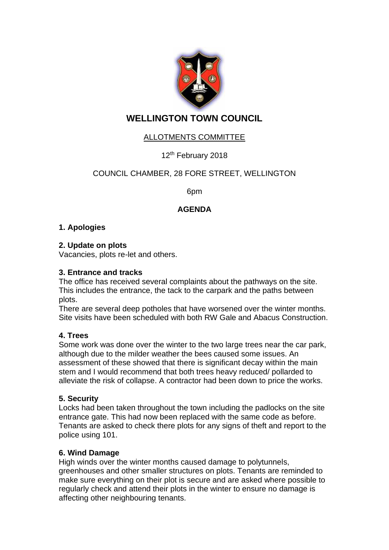

# **WELLINGTON TOWN COUNCIL**

# ALLOTMENTS COMMITTEE

# 12<sup>th</sup> February 2018

## COUNCIL CHAMBER, 28 FORE STREET, WELLINGTON

6pm

## **AGENDA**

#### **1. Apologies**

#### **2. Update on plots**

Vacancies, plots re-let and others.

#### **3. Entrance and tracks**

The office has received several complaints about the pathways on the site. This includes the entrance, the tack to the carpark and the paths between plots.

There are several deep potholes that have worsened over the winter months. Site visits have been scheduled with both RW Gale and Abacus Construction.

#### **4. Trees**

Some work was done over the winter to the two large trees near the car park, although due to the milder weather the bees caused some issues. An assessment of these showed that there is significant decay within the main stem and I would recommend that both trees heavy reduced/ pollarded to alleviate the risk of collapse. A contractor had been down to price the works.

#### **5. Security**

Locks had been taken throughout the town including the padlocks on the site entrance gate. This had now been replaced with the same code as before. Tenants are asked to check there plots for any signs of theft and report to the police using 101.

#### **6. Wind Damage**

High winds over the winter months caused damage to polytunnels, greenhouses and other smaller structures on plots. Tenants are reminded to make sure everything on their plot is secure and are asked where possible to regularly check and attend their plots in the winter to ensure no damage is affecting other neighbouring tenants.